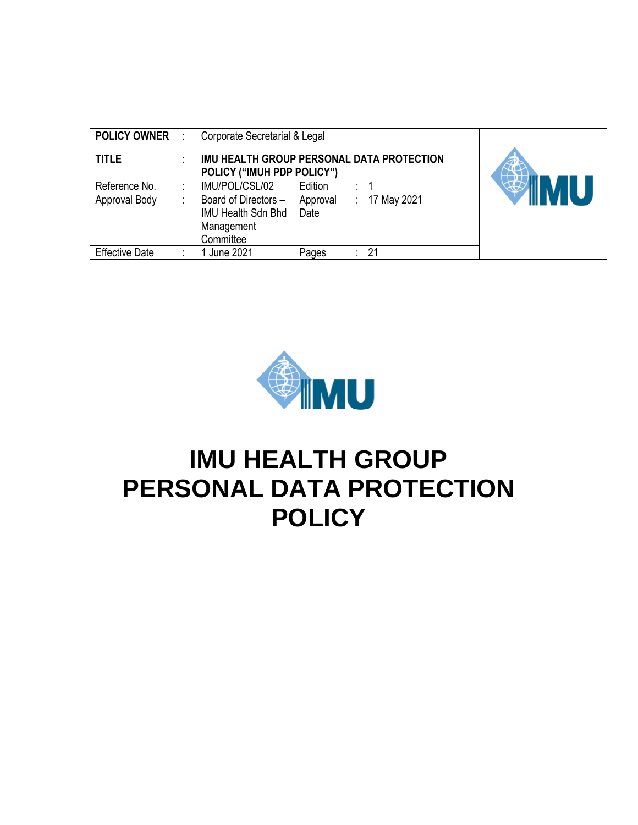| <b>POLICY OWNER</b>   | ÷ | Corporate Secretarial & Legal                                                |                  |    |             |  |
|-----------------------|---|------------------------------------------------------------------------------|------------------|----|-------------|--|
| <b>TITLE</b>          |   | IMU HEALTH GROUP PERSONAL DATA PROTECTION<br>POLICY ("IMUH PDP POLICY")      |                  |    |             |  |
| Reference No.         |   | IMU/POL/CSL/02                                                               | Edition          |    |             |  |
| Approval Body         |   | Board of Directors -<br><b>IMU Health Sdn Bhd</b><br>Management<br>Committee | Approval<br>Date | ÷. | 17 May 2021 |  |
| <b>Effective Date</b> |   | June 2021                                                                    | Pages            |    | 21          |  |



# **IMU HEALTH GROUP PERSONAL DATA PROTECTION POLICY**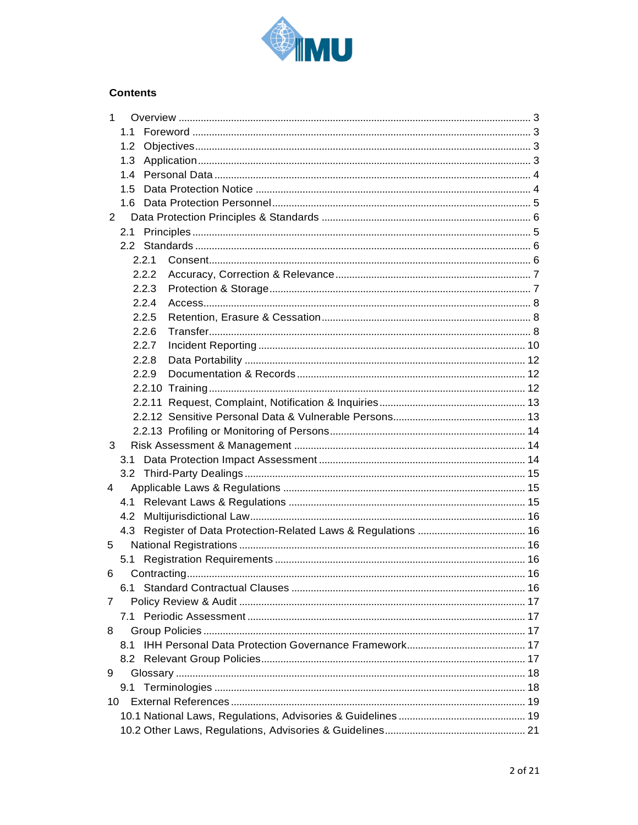

# **Contents**

| 1              |       |  |  |  |  |  |
|----------------|-------|--|--|--|--|--|
|                | 1.1   |  |  |  |  |  |
|                | 1.2   |  |  |  |  |  |
|                | 1.3   |  |  |  |  |  |
|                | 1.4   |  |  |  |  |  |
|                | 1.5   |  |  |  |  |  |
|                | 1.6   |  |  |  |  |  |
| $\overline{2}$ |       |  |  |  |  |  |
|                | 2.1   |  |  |  |  |  |
|                |       |  |  |  |  |  |
|                | 2.2.1 |  |  |  |  |  |
|                | 2.2.2 |  |  |  |  |  |
|                | 2.2.3 |  |  |  |  |  |
|                | 2.2.4 |  |  |  |  |  |
|                | 2.2.5 |  |  |  |  |  |
|                | 2.2.6 |  |  |  |  |  |
|                | 2.2.7 |  |  |  |  |  |
|                | 2.2.8 |  |  |  |  |  |
|                | 2.2.9 |  |  |  |  |  |
|                |       |  |  |  |  |  |
|                |       |  |  |  |  |  |
|                |       |  |  |  |  |  |
|                |       |  |  |  |  |  |
| 3              |       |  |  |  |  |  |
|                | 3.1   |  |  |  |  |  |
|                |       |  |  |  |  |  |
| 4              |       |  |  |  |  |  |
|                | 4.1   |  |  |  |  |  |
|                | 4.2   |  |  |  |  |  |
|                |       |  |  |  |  |  |
| 5              |       |  |  |  |  |  |
|                | 5.1   |  |  |  |  |  |
| 6              |       |  |  |  |  |  |
|                | 6.1 - |  |  |  |  |  |
| 7              |       |  |  |  |  |  |
|                | 7.1   |  |  |  |  |  |
| 8              |       |  |  |  |  |  |
|                | 8.1   |  |  |  |  |  |
|                |       |  |  |  |  |  |
| 9              |       |  |  |  |  |  |
|                | 9.1   |  |  |  |  |  |
|                | 10    |  |  |  |  |  |
|                |       |  |  |  |  |  |
|                |       |  |  |  |  |  |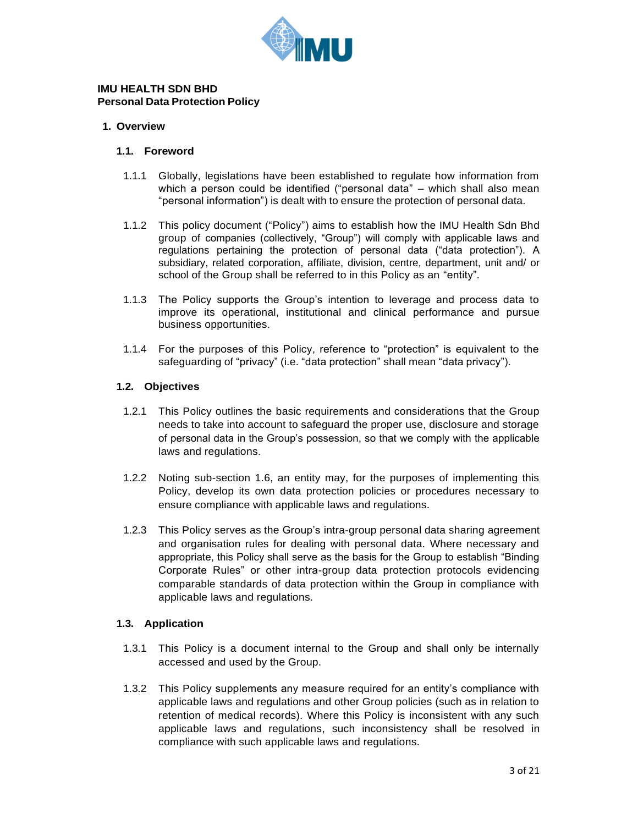

#### **IMU HEALTH SDN BHD Personal Data Protection Policy**

#### <span id="page-2-1"></span><span id="page-2-0"></span>**1. Overview**

#### **1.1. Foreword**

- 1.1.1 Globally, legislations have been established to regulate how information from which a person could be identified ("personal data" – which shall also mean "personal information") is dealt with to ensure the protection of personal data.
- 1.1.2 This policy document ("Policy") aims to establish how the IMU Health Sdn Bhd group of companies (collectively, "Group") will comply with applicable laws and regulations pertaining the protection of personal data ("data protection"). A subsidiary, related corporation, affiliate, division, centre, department, unit and/ or school of the Group shall be referred to in this Policy as an "entity".
- 1.1.3 The Policy supports the Group's intention to leverage and process data to improve its operational, institutional and clinical performance and pursue business opportunities.
- 1.1.4 For the purposes of this Policy, reference to "protection" is equivalent to the safeguarding of "privacy" (i.e. "data protection" shall mean "data privacy").

#### <span id="page-2-2"></span>**1.2. Objectives**

- 1.2.1 This Policy outlines the basic requirements and considerations that the Group needs to take into account to safeguard the proper use, disclosure and storage of personal data in the Group's possession, so that we comply with the applicable laws and regulations.
- 1.2.2 Noting sub-section 1.6, an entity may, for the purposes of implementing this Policy, develop its own data protection policies or procedures necessary to ensure compliance with applicable laws and regulations.
- 1.2.3 This Policy serves as the Group's intra-group personal data sharing agreement and organisation rules for dealing with personal data. Where necessary and appropriate, this Policy shall serve as the basis for the Group to establish "Binding Corporate Rules" or other intra-group data protection protocols evidencing comparable standards of data protection within the Group in compliance with applicable laws and regulations.

#### <span id="page-2-3"></span>**1.3. Application**

- 1.3.1 This Policy is a document internal to the Group and shall only be internally accessed and used by the Group.
- 1.3.2 This Policy supplements any measure required for an entity's compliance with applicable laws and regulations and other Group policies (such as in relation to retention of medical records). Where this Policy is inconsistent with any such applicable laws and regulations, such inconsistency shall be resolved in compliance with such applicable laws and regulations.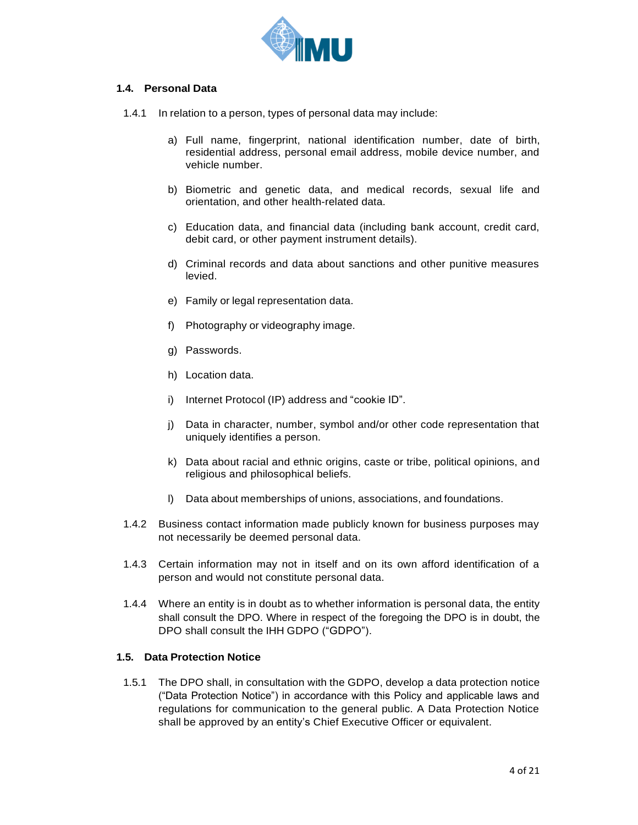

#### <span id="page-3-0"></span>**1.4. Personal Data**

- 1.4.1 In relation to a person, types of personal data may include:
	- a) Full name, fingerprint, national identification number, date of birth, residential address, personal email address, mobile device number, and vehicle number.
	- b) Biometric and genetic data, and medical records, sexual life and orientation, and other health-related data.
	- c) Education data, and financial data (including bank account, credit card, debit card, or other payment instrument details).
	- d) Criminal records and data about sanctions and other punitive measures levied.
	- e) Family or legal representation data.
	- f) Photography or videography image.
	- g) Passwords.
	- h) Location data.
	- i) Internet Protocol (IP) address and "cookie ID".
	- j) Data in character, number, symbol and/or other code representation that uniquely identifies a person.
	- k) Data about racial and ethnic origins, caste or tribe, political opinions, and religious and philosophical beliefs.
	- l) Data about memberships of unions, associations, and foundations.
- 1.4.2 Business contact information made publicly known for business purposes may not necessarily be deemed personal data.
- 1.4.3 Certain information may not in itself and on its own afford identification of a person and would not constitute personal data.
- 1.4.4 Where an entity is in doubt as to whether information is personal data, the entity shall consult the DPO. Where in respect of the foregoing the DPO is in doubt, the DPO shall consult the IHH GDPO ("GDPO").

#### <span id="page-3-1"></span>**1.5. Data Protection Notice**

1.5.1 The DPO shall, in consultation with the GDPO, develop a data protection notice ("Data Protection Notice") in accordance with this Policy and applicable laws and regulations for communication to the general public. A Data Protection Notice shall be approved by an entity's Chief Executive Officer or equivalent.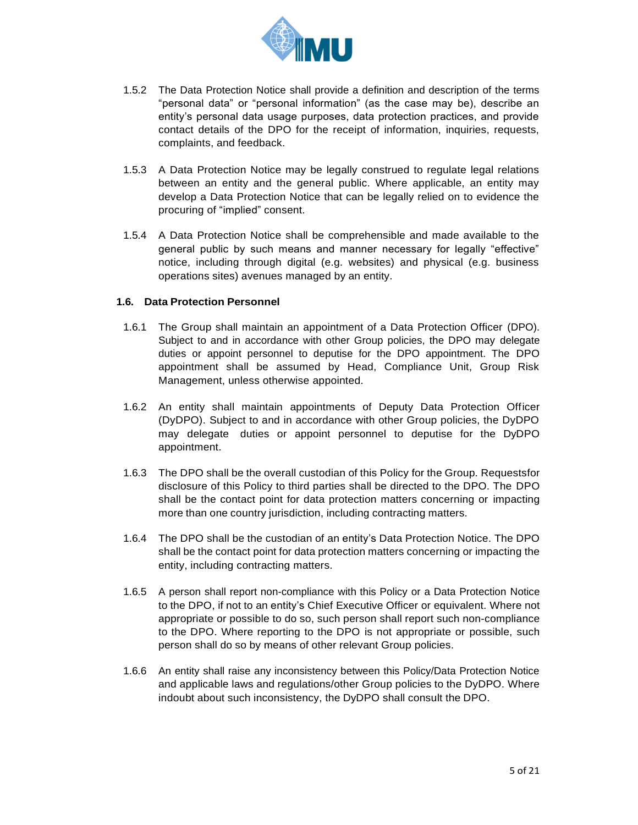

- 1.5.2 The Data Protection Notice shall provide a definition and description of the terms "personal data" or "personal information" (as the case may be), describe an entity's personal data usage purposes, data protection practices, and provide contact details of the DPO for the receipt of information, inquiries, requests, complaints, and feedback.
- 1.5.3 A Data Protection Notice may be legally construed to regulate legal relations between an entity and the general public. Where applicable, an entity may develop a Data Protection Notice that can be legally relied on to evidence the procuring of "implied" consent.
- 1.5.4 A Data Protection Notice shall be comprehensible and made available to the general public by such means and manner necessary for legally "effective" notice, including through digital (e.g. websites) and physical (e.g. business operations sites) avenues managed by an entity.

#### <span id="page-4-0"></span>**1.6. Data Protection Personnel**

- 1.6.1 The Group shall maintain an appointment of a Data Protection Officer (DPO). Subject to and in accordance with other Group policies, the DPO may delegate duties or appoint personnel to deputise for the DPO appointment. The DPO appointment shall be assumed by Head, Compliance Unit, Group Risk Management, unless otherwise appointed.
- 1.6.2 An entity shall maintain appointments of Deputy Data Protection Officer (DyDPO). Subject to and in accordance with other Group policies, the DyDPO may delegate duties or appoint personnel to deputise for the DyDPO appointment.
- 1.6.3 The DPO shall be the overall custodian of this Policy for the Group. Requestsfor disclosure of this Policy to third parties shall be directed to the DPO. The DPO shall be the contact point for data protection matters concerning or impacting more than one country jurisdiction, including contracting matters.
- 1.6.4 The DPO shall be the custodian of an entity's Data Protection Notice. The DPO shall be the contact point for data protection matters concerning or impacting the entity, including contracting matters.
- 1.6.5 A person shall report non-compliance with this Policy or a Data Protection Notice to the DPO, if not to an entity's Chief Executive Officer or equivalent. Where not appropriate or possible to do so, such person shall report such non-compliance to the DPO. Where reporting to the DPO is not appropriate or possible, such person shall do so by means of other relevant Group policies.
- 1.6.6 An entity shall raise any inconsistency between this Policy/Data Protection Notice and applicable laws and regulations/other Group policies to the DyDPO. Where indoubt about such inconsistency, the DyDPO shall consult the DPO.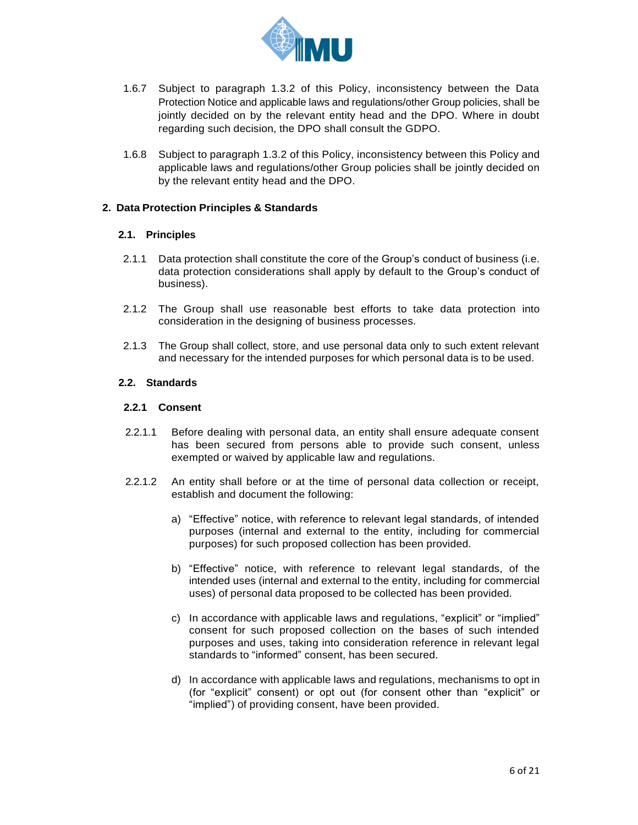

- 1.6.7 Subject to paragraph 1.3.2 of this Policy, inconsistency between the Data Protection Notice and applicable laws and regulations/other Group policies, shall be jointly decided on by the relevant entity head and the DPO. Where in doubt regarding such decision, the DPO shall consult the GDPO.
- 1.6.8 Subject to paragraph 1.3.2 of this Policy, inconsistency between this Policy and applicable laws and regulations/other Group policies shall be jointly decided on by the relevant entity head and the DPO.

#### <span id="page-5-1"></span><span id="page-5-0"></span>**2. Data Protection Principles & Standards**

#### **2.1. Principles**

- 2.1.1 Data protection shall constitute the core of the Group's conduct of business (i.e. data protection considerations shall apply by default to the Group's conduct of business).
- 2.1.2 The Group shall use reasonable best efforts to take data protection into consideration in the designing of business processes.
- 2.1.3 The Group shall collect, store, and use personal data only to such extent relevant and necessary for the intended purposes for which personal data is to be used.

#### <span id="page-5-2"></span>**2.2. Standards**

#### <span id="page-5-3"></span>**2.2.1 Consent**

- 2.2.1.1 Before dealing with personal data, an entity shall ensure adequate consent has been secured from persons able to provide such consent, unless exempted or waived by applicable law and regulations.
- 2.2.1.2 An entity shall before or at the time of personal data collection or receipt, establish and document the following:
	- a) "Effective" notice, with reference to relevant legal standards, of intended purposes (internal and external to the entity, including for commercial purposes) for such proposed collection has been provided.
	- b) "Effective" notice, with reference to relevant legal standards, of the intended uses (internal and external to the entity, including for commercial uses) of personal data proposed to be collected has been provided.
	- c) In accordance with applicable laws and regulations, "explicit" or "implied" consent for such proposed collection on the bases of such intended purposes and uses, taking into consideration reference in relevant legal standards to "informed" consent, has been secured.
	- d) In accordance with applicable laws and regulations, mechanisms to opt in (for "explicit" consent) or opt out (for consent other than "explicit" or "implied") of providing consent, have been provided.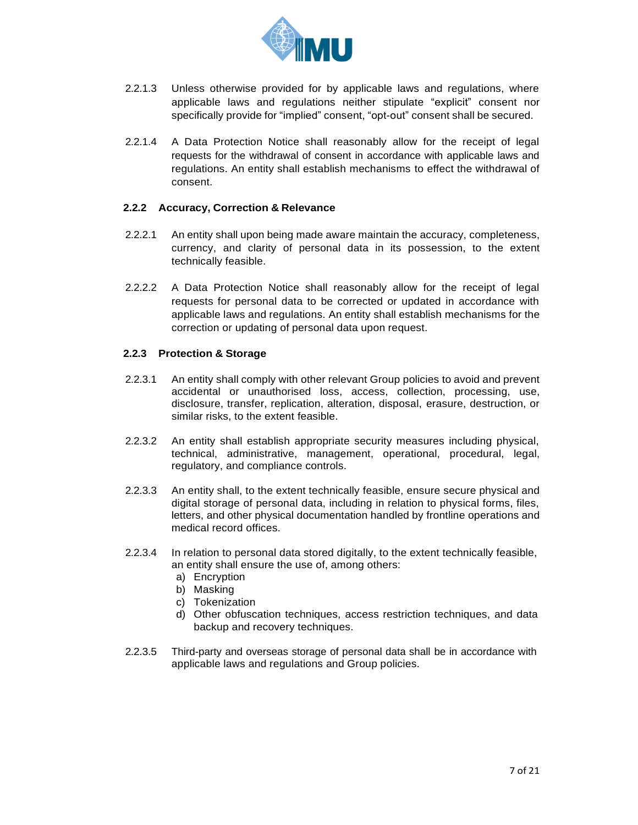

- 2.2.1.3 Unless otherwise provided for by applicable laws and regulations, where applicable laws and regulations neither stipulate "explicit" consent nor specifically provide for "implied" consent, "opt-out" consent shall be secured.
- 2.2.1.4 A Data Protection Notice shall reasonably allow for the receipt of legal requests for the withdrawal of consent in accordance with applicable laws and regulations. An entity shall establish mechanisms to effect the withdrawal of consent.

#### <span id="page-6-0"></span>**2.2.2 Accuracy, Correction & Relevance**

- 2.2.2.1 An entity shall upon being made aware maintain the accuracy, completeness, currency, and clarity of personal data in its possession, to the extent technically feasible.
- 2.2.2.2 A Data Protection Notice shall reasonably allow for the receipt of legal requests for personal data to be corrected or updated in accordance with applicable laws and regulations. An entity shall establish mechanisms for the correction or updating of personal data upon request.

#### <span id="page-6-1"></span>**2.2.3 Protection & Storage**

- 2.2.3.1 An entity shall comply with other relevant Group policies to avoid and prevent accidental or unauthorised loss, access, collection, processing, use, disclosure, transfer, replication, alteration, disposal, erasure, destruction, or similar risks, to the extent feasible.
- 2.2.3.2 An entity shall establish appropriate security measures including physical, technical, administrative, management, operational, procedural, legal, regulatory, and compliance controls.
- 2.2.3.3 An entity shall, to the extent technically feasible, ensure secure physical and digital storage of personal data, including in relation to physical forms, files, letters, and other physical documentation handled by frontline operations and medical record offices.
- 2.2.3.4 In relation to personal data stored digitally, to the extent technically feasible, an entity shall ensure the use of, among others:
	- a) Encryption
	- b) Masking
	- c) Tokenization
	- d) Other obfuscation techniques, access restriction techniques, and data backup and recovery techniques.
- 2.2.3.5 Third-party and overseas storage of personal data shall be in accordance with applicable laws and regulations and Group policies.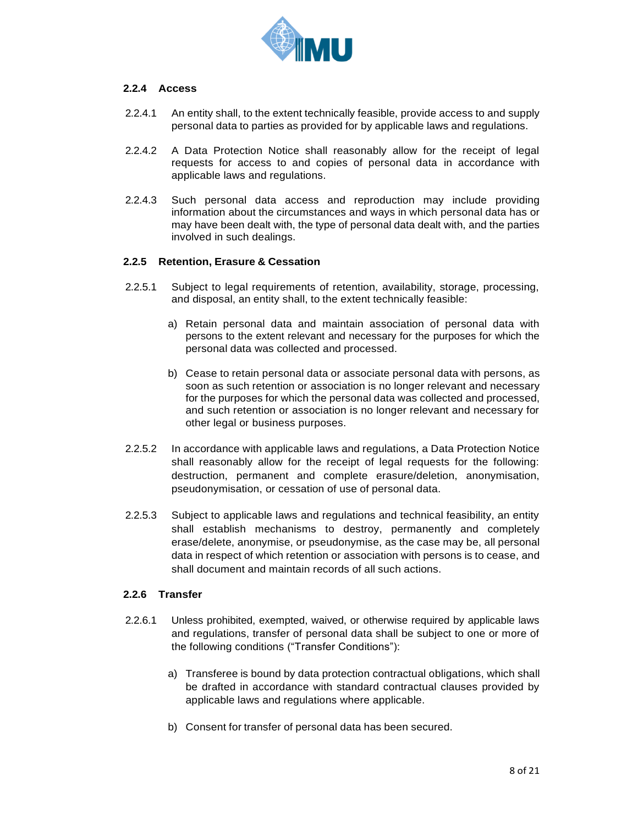

#### <span id="page-7-0"></span>**2.2.4 Access**

- 2.2.4.1 An entity shall, to the extent technically feasible, provide access to and supply personal data to parties as provided for by applicable laws and regulations.
- 2.2.4.2 A Data Protection Notice shall reasonably allow for the receipt of legal requests for access to and copies of personal data in accordance with applicable laws and regulations.
- 2.2.4.3 Such personal data access and reproduction may include providing information about the circumstances and ways in which personal data has or may have been dealt with, the type of personal data dealt with, and the parties involved in such dealings.

#### <span id="page-7-1"></span>**2.2.5 Retention, Erasure & Cessation**

- 2.2.5.1 Subject to legal requirements of retention, availability, storage, processing, and disposal, an entity shall, to the extent technically feasible:
	- a) Retain personal data and maintain association of personal data with persons to the extent relevant and necessary for the purposes for which the personal data was collected and processed.
	- b) Cease to retain personal data or associate personal data with persons, as soon as such retention or association is no longer relevant and necessary for the purposes for which the personal data was collected and processed, and such retention or association is no longer relevant and necessary for other legal or business purposes.
- 2.2.5.2 In accordance with applicable laws and regulations, a Data Protection Notice shall reasonably allow for the receipt of legal requests for the following: destruction, permanent and complete erasure/deletion, anonymisation, pseudonymisation, or cessation of use of personal data.
- 2.2.5.3 Subject to applicable laws and regulations and technical feasibility, an entity shall establish mechanisms to destroy, permanently and completely erase/delete, anonymise, or pseudonymise, as the case may be, all personal data in respect of which retention or association with persons is to cease, and shall document and maintain records of all such actions.

#### <span id="page-7-2"></span>**2.2.6 Transfer**

- 2.2.6.1 Unless prohibited, exempted, waived, or otherwise required by applicable laws and regulations, transfer of personal data shall be subject to one or more of the following conditions ("Transfer Conditions"):
	- a) Transferee is bound by data protection contractual obligations, which shall be drafted in accordance with standard contractual clauses provided by applicable laws and regulations where applicable.
	- b) Consent for transfer of personal data has been secured.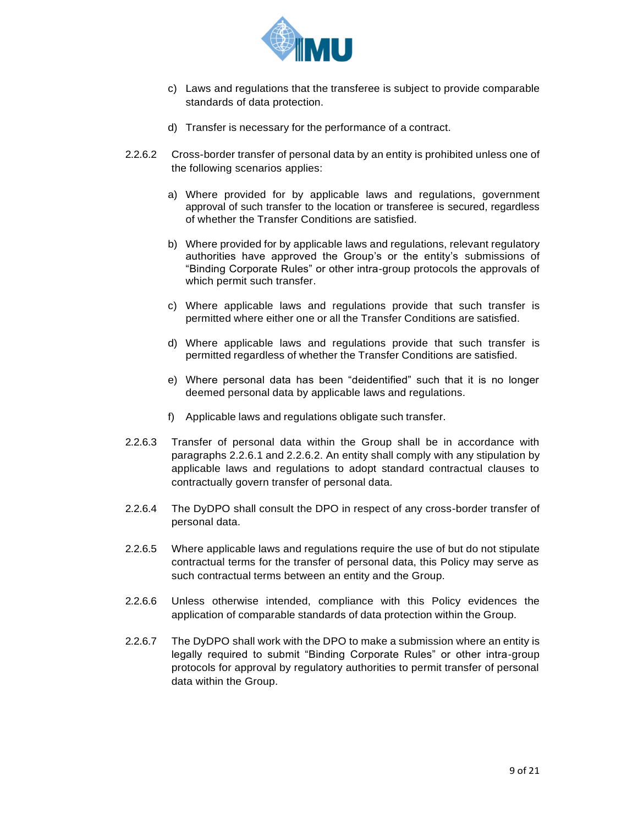

- c) Laws and regulations that the transferee is subject to provide comparable standards of data protection.
- d) Transfer is necessary for the performance of a contract.
- 2.2.6.2 Cross-border transfer of personal data by an entity is prohibited unless one of the following scenarios applies:
	- a) Where provided for by applicable laws and regulations, government approval of such transfer to the location or transferee is secured, regardless of whether the Transfer Conditions are satisfied.
	- b) Where provided for by applicable laws and regulations, relevant regulatory authorities have approved the Group's or the entity's submissions of "Binding Corporate Rules" or other intra-group protocols the approvals of which permit such transfer.
	- c) Where applicable laws and regulations provide that such transfer is permitted where either one or all the Transfer Conditions are satisfied.
	- d) Where applicable laws and regulations provide that such transfer is permitted regardless of whether the Transfer Conditions are satisfied.
	- e) Where personal data has been "deidentified" such that it is no longer deemed personal data by applicable laws and regulations.
	- f) Applicable laws and regulations obligate such transfer.
- 2.2.6.3 Transfer of personal data within the Group shall be in accordance with paragraphs 2.2.6.1 and 2.2.6.2. An entity shall comply with any stipulation by applicable laws and regulations to adopt standard contractual clauses to contractually govern transfer of personal data.
- 2.2.6.4 The DyDPO shall consult the DPO in respect of any cross-border transfer of personal data.
- 2.2.6.5 Where applicable laws and regulations require the use of but do not stipulate contractual terms for the transfer of personal data, this Policy may serve as such contractual terms between an entity and the Group.
- 2.2.6.6 Unless otherwise intended, compliance with this Policy evidences the application of comparable standards of data protection within the Group.
- 2.2.6.7 The DyDPO shall work with the DPO to make a submission where an entity is legally required to submit "Binding Corporate Rules" or other intra-group protocols for approval by regulatory authorities to permit transfer of personal data within the Group.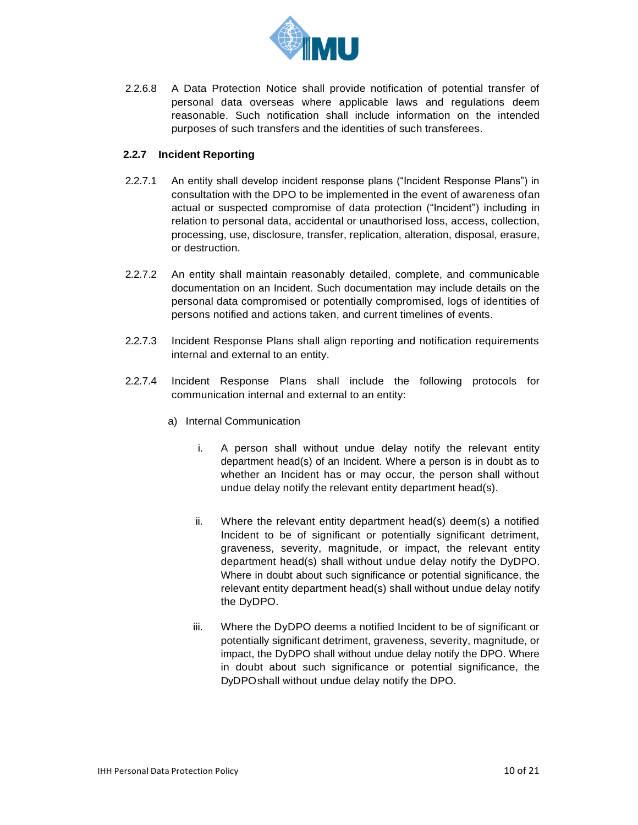

2.2.6.8 A Data Protection Notice shall provide notification of potential transfer of personal data overseas where applicable laws and regulations deem reasonable. Such notification shall include information on the intended purposes of such transfers and the identities of such transferees.

### <span id="page-9-0"></span>**2.2.7 Incident Reporting**

- 2.2.7.1 An entity shall develop incident response plans ("Incident Response Plans") in consultation with the DPO to be implemented in the event of awareness ofan actual or suspected compromise of data protection ("Incident") including in relation to personal data, accidental or unauthorised loss, access, collection, processing, use, disclosure, transfer, replication, alteration, disposal, erasure, or destruction.
- 2.2.7.2 An entity shall maintain reasonably detailed, complete, and communicable documentation on an Incident. Such documentation may include details on the personal data compromised or potentially compromised, logs of identities of persons notified and actions taken, and current timelines of events.
- 2.2.7.3 Incident Response Plans shall align reporting and notification requirements internal and external to an entity.
- 2.2.7.4 Incident Response Plans shall include the following protocols for communication internal and external to an entity:
	- a) Internal Communication
		- i. A person shall without undue delay notify the relevant entity department head(s) of an Incident. Where a person is in doubt as to whether an Incident has or may occur, the person shall without undue delay notify the relevant entity department head(s).
		- ii. Where the relevant entity department head(s) deem(s) a notified Incident to be of significant or potentially significant detriment, graveness, severity, magnitude, or impact, the relevant entity department head(s) shall without undue delay notify the DyDPO. Where in doubt about such significance or potential significance, the relevant entity department head(s) shall without undue delay notify the DyDPO.
		- iii. Where the DyDPO deems a notified Incident to be of significant or potentially significant detriment, graveness, severity, magnitude, or impact, the DyDPO shall without undue delay notify the DPO. Where in doubt about such significance or potential significance, the DyDPO shall without undue delay notify the DPO.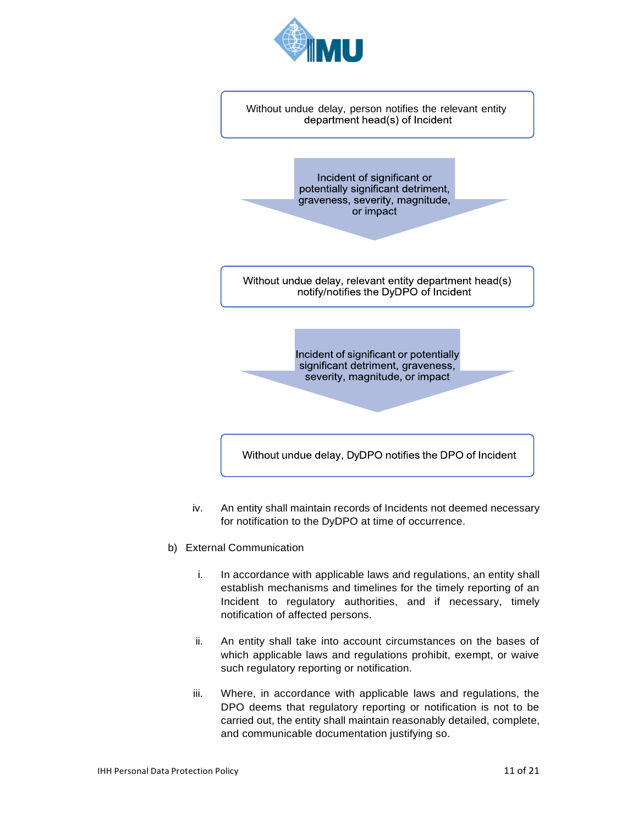



Incident of significant or potentially significant detriment, graveness, severity, magnitude, or impact

Without undue delay, relevant entity department head(s) notify/notifies the DyDPO of Incident

> Incident of significant or potentially significant detriment, graveness, severity, magnitude, or impact

Without undue delay, DyDPO notifies the DPO of Incident

- iv. An entity shall maintain records of Incidents not deemed necessary for notification to the DyDPO at time of occurrence.
- b) External Communication
	- i. In accordance with applicable laws and regulations, an entity shall establish mechanisms and timelines for the timely reporting of an Incident to regulatory authorities, and if necessary, timely notification of affected persons.
	- ii. An entity shall take into account circumstances on the bases of which applicable laws and regulations prohibit, exempt, or waive such regulatory reporting or notification.
	- iii. Where, in accordance with applicable laws and regulations, the DPO deems that regulatory reporting or notification is not to be carried out, the entity shall maintain reasonably detailed, complete, and communicable documentation justifying so.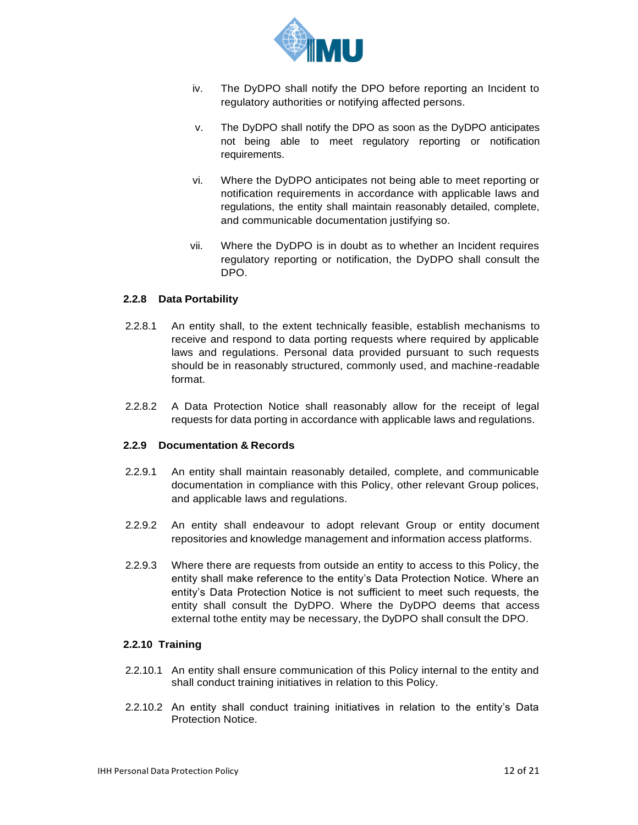

- iv. The DyDPO shall notify the DPO before reporting an Incident to regulatory authorities or notifying affected persons.
- v. The DyDPO shall notify the DPO as soon as the DyDPO anticipates not being able to meet regulatory reporting or notification requirements.
- vi. Where the DyDPO anticipates not being able to meet reporting or notification requirements in accordance with applicable laws and regulations, the entity shall maintain reasonably detailed, complete, and communicable documentation justifying so.
- vii. Where the DyDPO is in doubt as to whether an Incident requires regulatory reporting or notification, the DyDPO shall consult the DPO.

#### <span id="page-11-0"></span>**2.2.8 Data Portability**

- 2.2.8.1 An entity shall, to the extent technically feasible, establish mechanisms to receive and respond to data porting requests where required by applicable laws and regulations. Personal data provided pursuant to such requests should be in reasonably structured, commonly used, and machine-readable format.
- 2.2.8.2 A Data Protection Notice shall reasonably allow for the receipt of legal requests for data porting in accordance with applicable laws and regulations.

#### <span id="page-11-1"></span>**2.2.9 Documentation & Records**

- 2.2.9.1 An entity shall maintain reasonably detailed, complete, and communicable documentation in compliance with this Policy, other relevant Group polices, and applicable laws and regulations.
- 2.2.9.2 An entity shall endeavour to adopt relevant Group or entity document repositories and knowledge management and information access platforms.
- 2.2.9.3 Where there are requests from outside an entity to access to this Policy, the entity shall make reference to the entity's Data Protection Notice. Where an entity's Data Protection Notice is not sufficient to meet such requests, the entity shall consult the DyDPO. Where the DyDPO deems that access external tothe entity may be necessary, the DyDPO shall consult the DPO.

#### <span id="page-11-2"></span>**2.2.10 Training**

- 2.2.10.1 An entity shall ensure communication of this Policy internal to the entity and shall conduct training initiatives in relation to this Policy.
- 2.2.10.2 An entity shall conduct training initiatives in relation to the entity's Data Protection Notice.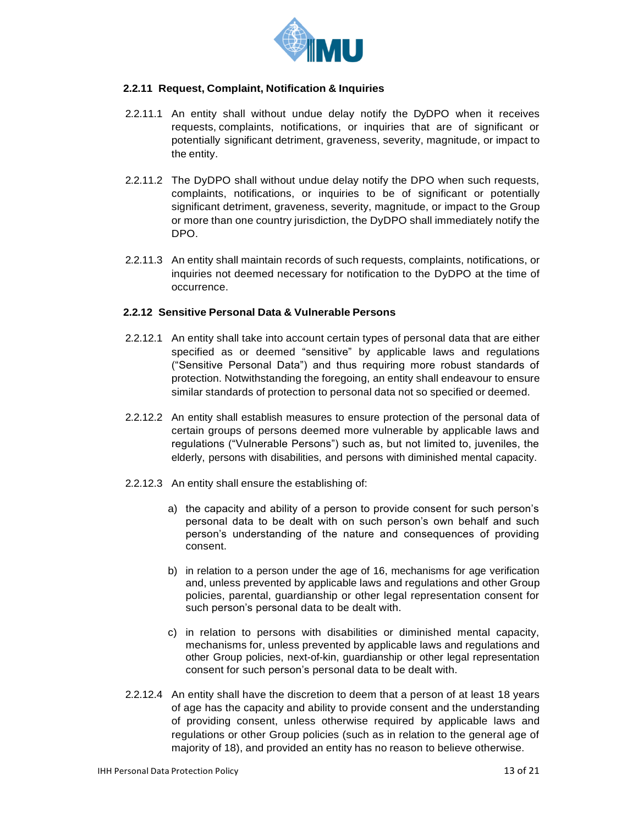

#### <span id="page-12-0"></span>**2.2.11 Request, Complaint, Notification & Inquiries**

- 2.2.11.1 An entity shall without undue delay notify the DyDPO when it receives requests, complaints, notifications, or inquiries that are of significant or potentially significant detriment, graveness, severity, magnitude, or impact to the entity.
- 2.2.11.2 The DyDPO shall without undue delay notify the DPO when such requests, complaints, notifications, or inquiries to be of significant or potentially significant detriment, graveness, severity, magnitude, or impact to the Group or more than one country jurisdiction, the DyDPO shall immediately notify the DPO.
- 2.2.11.3 An entity shall maintain records of such requests, complaints, notifications, or inquiries not deemed necessary for notification to the DyDPO at the time of occurrence.

#### <span id="page-12-1"></span>**2.2.12 Sensitive Personal Data & Vulnerable Persons**

- 2.2.12.1 An entity shall take into account certain types of personal data that are either specified as or deemed "sensitive" by applicable laws and regulations ("Sensitive Personal Data") and thus requiring more robust standards of protection. Notwithstanding the foregoing, an entity shall endeavour to ensure similar standards of protection to personal data not so specified or deemed.
- 2.2.12.2 An entity shall establish measures to ensure protection of the personal data of certain groups of persons deemed more vulnerable by applicable laws and regulations ("Vulnerable Persons") such as, but not limited to, juveniles, the elderly, persons with disabilities, and persons with diminished mental capacity.
- 2.2.12.3 An entity shall ensure the establishing of:
	- a) the capacity and ability of a person to provide consent for such person's personal data to be dealt with on such person's own behalf and such person's understanding of the nature and consequences of providing consent.
	- b) in relation to a person under the age of 16, mechanisms for age verification and, unless prevented by applicable laws and regulations and other Group policies, parental, guardianship or other legal representation consent for such person's personal data to be dealt with.
	- c) in relation to persons with disabilities or diminished mental capacity, mechanisms for, unless prevented by applicable laws and regulations and other Group policies, next-of-kin, guardianship or other legal representation consent for such person's personal data to be dealt with.
- 2.2.12.4 An entity shall have the discretion to deem that a person of at least 18 years of age has the capacity and ability to provide consent and the understanding of providing consent, unless otherwise required by applicable laws and regulations or other Group policies (such as in relation to the general age of majority of 18), and provided an entity has no reason to believe otherwise.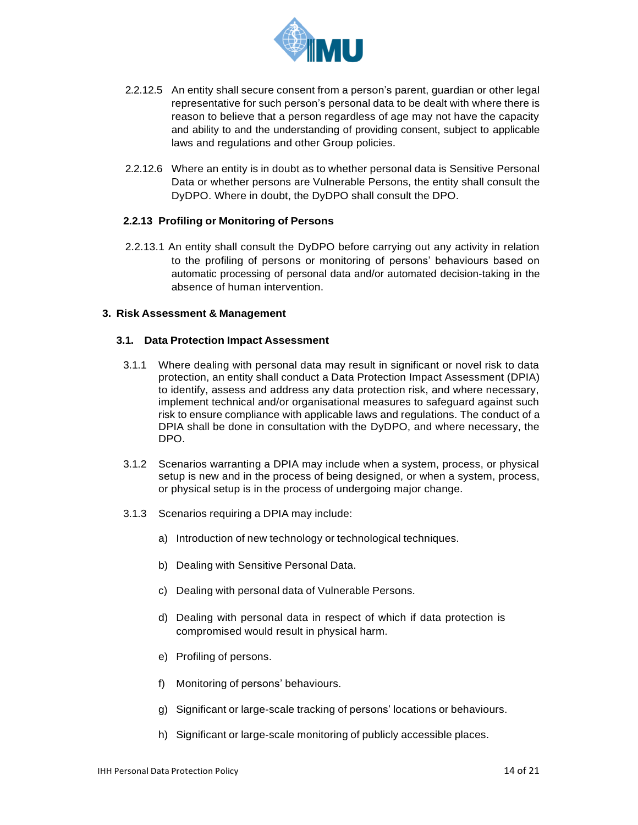

- 2.2.12.5 An entity shall secure consent from a person's parent, guardian or other legal representative for such person's personal data to be dealt with where there is reason to believe that a person regardless of age may not have the capacity and ability to and the understanding of providing consent, subject to applicable laws and regulations and other Group policies.
- 2.2.12.6 Where an entity is in doubt as to whether personal data is Sensitive Personal Data or whether persons are Vulnerable Persons, the entity shall consult the DyDPO. Where in doubt, the DyDPO shall consult the DPO.

#### <span id="page-13-0"></span>**2.2.13 Profiling or Monitoring of Persons**

2.2.13.1 An entity shall consult the DyDPO before carrying out any activity in relation to the profiling of persons or monitoring of persons' behaviours based on automatic processing of personal data and/or automated decision-taking in the absence of human intervention.

#### <span id="page-13-1"></span>**3. Risk Assessment & Management**

#### <span id="page-13-2"></span>**3.1. Data Protection Impact Assessment**

- 3.1.1 Where dealing with personal data may result in significant or novel risk to data protection, an entity shall conduct a Data Protection Impact Assessment (DPIA) to identify, assess and address any data protection risk, and where necessary, implement technical and/or organisational measures to safeguard against such risk to ensure compliance with applicable laws and regulations. The conduct of a DPIA shall be done in consultation with the DyDPO, and where necessary, the DPO.
- 3.1.2 Scenarios warranting a DPIA may include when a system, process, or physical setup is new and in the process of being designed, or when a system, process, or physical setup is in the process of undergoing major change.
- 3.1.3 Scenarios requiring a DPIA may include:
	- a) Introduction of new technology or technological techniques.
	- b) Dealing with Sensitive Personal Data.
	- c) Dealing with personal data of Vulnerable Persons.
	- d) Dealing with personal data in respect of which if data protection is compromised would result in physical harm.
	- e) Profiling of persons.
	- f) Monitoring of persons' behaviours.
	- g) Significant or large-scale tracking of persons' locations or behaviours.
	- h) Significant or large-scale monitoring of publicly accessible places.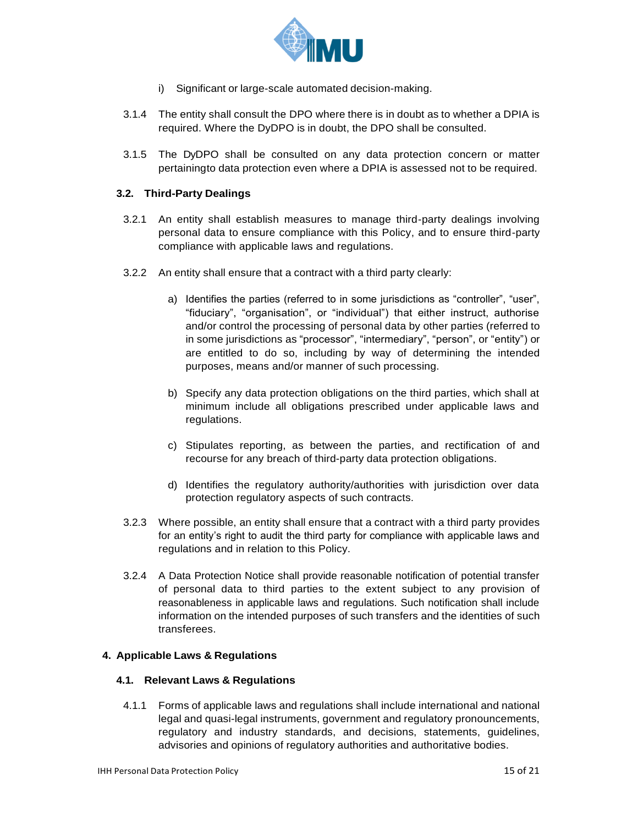

- i) Significant or large-scale automated decision-making.
- 3.1.4 The entity shall consult the DPO where there is in doubt as to whether a DPIA is required. Where the DyDPO is in doubt, the DPO shall be consulted.
- 3.1.5 The DyDPO shall be consulted on any data protection concern or matter pertainingto data protection even where a DPIA is assessed not to be required.

#### <span id="page-14-0"></span>**3.2. Third-Party Dealings**

- 3.2.1 An entity shall establish measures to manage third-party dealings involving personal data to ensure compliance with this Policy, and to ensure third-party compliance with applicable laws and regulations.
- 3.2.2 An entity shall ensure that a contract with a third party clearly:
	- a) Identifies the parties (referred to in some jurisdictions as "controller", "user", "fiduciary", "organisation", or "individual") that either instruct, authorise and/or control the processing of personal data by other parties (referred to in some jurisdictions as "processor", "intermediary", "person", or "entity") or are entitled to do so, including by way of determining the intended purposes, means and/or manner of such processing.
	- b) Specify any data protection obligations on the third parties, which shall at minimum include all obligations prescribed under applicable laws and regulations.
	- c) Stipulates reporting, as between the parties, and rectification of and recourse for any breach of third-party data protection obligations.
	- d) Identifies the regulatory authority/authorities with jurisdiction over data protection regulatory aspects of such contracts.
- 3.2.3 Where possible, an entity shall ensure that a contract with a third party provides for an entity's right to audit the third party for compliance with applicable laws and regulations and in relation to this Policy.
- 3.2.4 A Data Protection Notice shall provide reasonable notification of potential transfer of personal data to third parties to the extent subject to any provision of reasonableness in applicable laws and regulations. Such notification shall include information on the intended purposes of such transfers and the identities of such transferees.

#### <span id="page-14-2"></span><span id="page-14-1"></span>**4. Applicable Laws & Regulations**

#### **4.1. Relevant Laws & Regulations**

4.1.1 Forms of applicable laws and regulations shall include international and national legal and quasi-legal instruments, government and regulatory pronouncements, regulatory and industry standards, and decisions, statements, guidelines, advisories and opinions of regulatory authorities and authoritative bodies.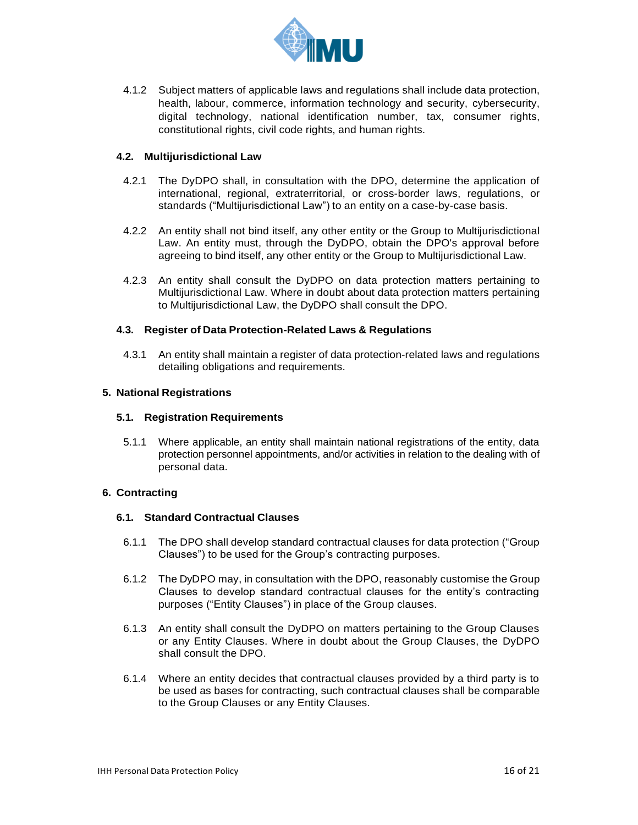

4.1.2 Subject matters of applicable laws and regulations shall include data protection, health, labour, commerce, information technology and security, cybersecurity, digital technology, national identification number, tax, consumer rights, constitutional rights, civil code rights, and human rights.

#### <span id="page-15-0"></span>**4.2. Multijurisdictional Law**

- 4.2.1 The DyDPO shall, in consultation with the DPO, determine the application of international, regional, extraterritorial, or cross-border laws, regulations, or standards ("Multijurisdictional Law") to an entity on a case-by-case basis.
- 4.2.2 An entity shall not bind itself, any other entity or the Group to Multijurisdictional Law. An entity must, through the DyDPO, obtain the DPO's approval before agreeing to bind itself, any other entity or the Group to Multijurisdictional Law.
- 4.2.3 An entity shall consult the DyDPO on data protection matters pertaining to Multijurisdictional Law. Where in doubt about data protection matters pertaining to Multijurisdictional Law, the DyDPO shall consult the DPO.

#### <span id="page-15-1"></span>**4.3. Register of Data Protection-Related Laws & Regulations**

4.3.1 An entity shall maintain a register of data protection-related laws and regulations detailing obligations and requirements.

#### <span id="page-15-3"></span><span id="page-15-2"></span>**5. National Registrations**

#### **5.1. Registration Requirements**

5.1.1 Where applicable, an entity shall maintain national registrations of the entity, data protection personnel appointments, and/or activities in relation to the dealing with of personal data.

#### <span id="page-15-5"></span><span id="page-15-4"></span>**6. Contracting**

#### **6.1. Standard Contractual Clauses**

- 6.1.1 The DPO shall develop standard contractual clauses for data protection ("Group Clauses") to be used for the Group's contracting purposes.
- 6.1.2 The DyDPO may, in consultation with the DPO, reasonably customise the Group Clauses to develop standard contractual clauses for the entity's contracting purposes ("Entity Clauses") in place of the Group clauses.
- 6.1.3 An entity shall consult the DyDPO on matters pertaining to the Group Clauses or any Entity Clauses. Where in doubt about the Group Clauses, the DyDPO shall consult the DPO.
- 6.1.4 Where an entity decides that contractual clauses provided by a third party is to be used as bases for contracting, such contractual clauses shall be comparable to the Group Clauses or any Entity Clauses.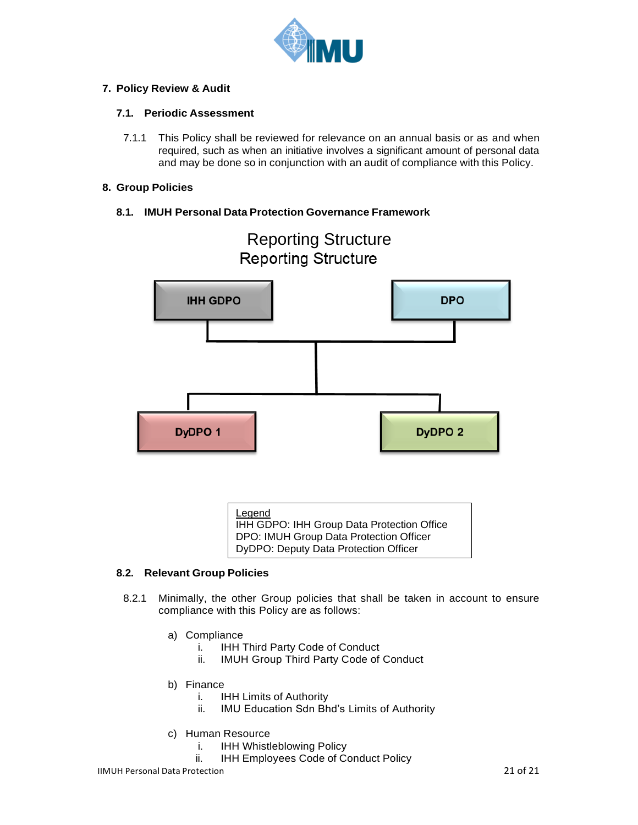

### <span id="page-16-1"></span><span id="page-16-0"></span>**7. Policy Review & Audit**

### **7.1. Periodic Assessment**

7.1.1 This Policy shall be reviewed for relevance on an annual basis or as and when required, such as when an initiative involves a significant amount of personal data and may be done so in conjunction with an audit of compliance with this Policy.

### <span id="page-16-2"></span>**8. Group Policies**

## <span id="page-16-3"></span>**8.1. IMUH Personal Data Protection Governance Framework**



# Reporting Structure **Reporting Structure**

Legend IHH GDPO: IHH Group Data Protection Office DPO: IMUH Group Data Protection Officer DyDPO: Deputy Data Protection Officer

#### <span id="page-16-4"></span>**8.2. Relevant Group Policies**

- 8.2.1 Minimally, the other Group policies that shall be taken in account to ensure compliance with this Policy are as follows:
	- a) Compliance
		- i. IHH Third Party Code of Conduct
		- ii. IMUH Group Third Party Code of Conduct
	- b) Finance
		- i. IHH Limits of Authority
		- ii. IMU Education Sdn Bhd's Limits of Authority
	- c) Human Resource
		- i. IHH Whistleblowing Policy
		- ii. IHH Employees Code of Conduct Policy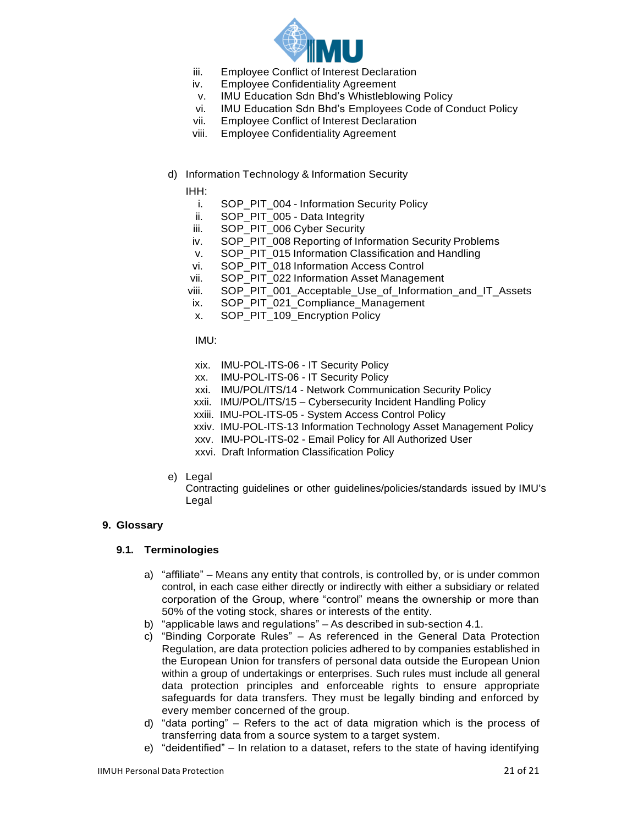

- iii. Employee Conflict of Interest Declaration
- iv. Employee Confidentiality Agreement
- v. IMU Education Sdn Bhd's Whistleblowing Policy
- vi. IMU Education Sdn Bhd's Employees Code of Conduct Policy
- vii. Employee Conflict of Interest Declaration
- viii. Employee Confidentiality Agreement
- d) Information Technology & Information Security

IHH:

- i. SOP\_PIT\_004 Information Security Policy
- ii. SOP\_PIT\_005 Data Integrity
- iii. SOP\_PIT\_006 Cyber Security
- iv. SOP\_PIT\_008 Reporting of Information Security Problems
- v. SOP\_PIT\_015 Information Classification and Handling
- vi. SOP\_PIT\_018 Information Access Control
- vii. SOP\_PIT\_022 Information Asset Management
- viii. SOP\_PIT\_001\_Acceptable\_Use\_of\_Information\_and\_IT\_Assets
- ix. SOP\_PIT\_021\_Compliance\_Management
- x. SOP\_PIT\_109\_Encryption Policy

IMU:

- xix. IMU-POL-ITS-06 IT Security Policy
- xx. IMU-POL-ITS-06 IT Security Policy
- xxi. IMU/POL/ITS/14 Network Communication Security Policy
- xxii. IMU/POL/ITS/15 Cybersecurity Incident Handling Policy
- xxiii. IMU-POL-ITS-05 System Access Control Policy
- xxiv. IMU-POL-ITS-13 Information Technology Asset Management Policy
- xxv. IMU-POL-ITS-02 Email Policy for All Authorized User
- xxvi. Draft Information Classification Policy
- e) Legal

Contracting guidelines or other guidelines/policies/standards issued by IMU's Legal

#### <span id="page-17-1"></span><span id="page-17-0"></span>**9. Glossary**

#### **9.1. Terminologies**

- a) "affiliate" Means any entity that controls, is controlled by, or is under common control, in each case either directly or indirectly with either a subsidiary or related corporation of the Group, where "control" means the ownership or more than 50% of the voting stock, shares or interests of the entity.
- b) "applicable laws and regulations" As described in sub-section 4.1.
- c) "Binding Corporate Rules" As referenced in the General Data Protection Regulation, are data protection policies adhered to by companies established in the European Union for transfers of personal data outside the European Union within a group of undertakings or enterprises. Such rules must include all general data protection principles and enforceable rights to ensure appropriate safeguards for data transfers. They must be legally binding and enforced by every member concerned of the group.
- d) "data porting" Refers to the act of data migration which is the process of transferring data from a source system to a target system.
- e) "deidentified" In relation to a dataset, refers to the state of having identifying